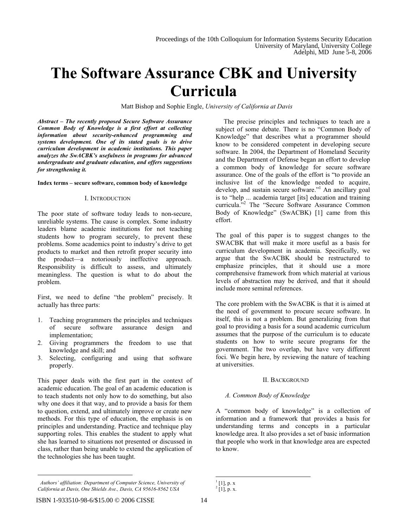# **The Software Assurance CBK and University Curricula**

Matt Bishop and Sophie Engle, *University of California at Davis*

*Abstract – The recently proposed Secure Software Assurance Common Body of Knowledge is a first effort at collecting information about security-enhanced programming and systems development. One of its stated goals is to drive curriculum development in academic institutions. This paper analyzes the SwACBK's usefulness in programs for advanced undergraduate and graduate education, and offers suggestions for strengthening it.*

#### **Index terms – secure software, common body of knowledge**

#### I. INTRODUCTION

The poor state of software today leads to non-secure, unreliable systems. The cause is complex. Some industry leaders blame academic institutions for not teaching students how to program securely, to prevent these problems. Some academics point to industry's drive to get products to market and then retrofit proper security into the product—a notoriously ineffective approach. Responsibility is difficult to assess, and ultimately meaningless. The question is what to do about the problem.

First, we need to define "the problem" precisely. It actually has three parts:

- 1. Teaching programmers the principles and techniques of secure software assurance design and implementation;
- 2. Giving programmers the freedom to use that knowledge and skill; and
- 3. Selecting, configuring and using that software properly.

This paper deals with the first part in the context of academic education. The goal of an academic education is to teach students not only how to do something, but also why one does it that way, and to provide a basis for them to question, extend, and ultimately improve or create new methods. For this type of education, the emphasis is on principles and understanding. Practice and technique play supporting roles. This enables the student to apply what she has learned to situations not presented or discussed in class, rather than being unable to extend the application of the technologies she has been taught.

*Authors' affiliation: Department of Computer Science, University of California at Davis, One Shields Ave., Davis, CA 95616-8562 USA*

The precise principles and techniques to teach are a subject of some debate. There is no "Common Body of Knowledge" that describes what a programmer should know to be considered competent in developing secure software. In 2004, the Department of Homeland Security and the Department of Defense began an effort to develop a common body of knowledge for secure software assurance. One of the goals of the effort is "to provide an inclusive list of the knowledge needed to acquire, develop, and sustain secure software."<sup>1</sup> An ancillary goal is to "help ... academia target [its] education and training curricula."<sup>2</sup> The "Secure Software Assurance Common Body of Knowledge" (SwACBK) [1] came from this effort.

The goal of this paper is to suggest changes to the SWACBK that will make it more useful as a basis for curriculum development in academia. Specifically, we argue that the SwACBK should be restructured to emphasize principles, that it should use a more comprehensive framework from which material at various levels of abstraction may be derived, and that it should include more seminal references.

The core problem with the SwACBK is that it is aimed at the need of government to procure secure software. In itself, this is not a problem. But generalizing from that goal to providing a basis for a sound academic curriculum assumes that the purpose of the curriculum is to educate students on how to write secure programs for the government. The two overlap, but have very different foci. We begin here, by reviewing the nature of teaching at universities.

#### II. BACKGROUND

#### *A. Common Body of Knowledge*

A "common body of knowledge" is a collection of information and a framework that provides a basis for understanding terms and concepts in a particular knowledge area. It also provides a set of basic information that people who work in that knowledge area are expected to know.

 $^{1}$  [1], p. x

 $2$  [1], p. x.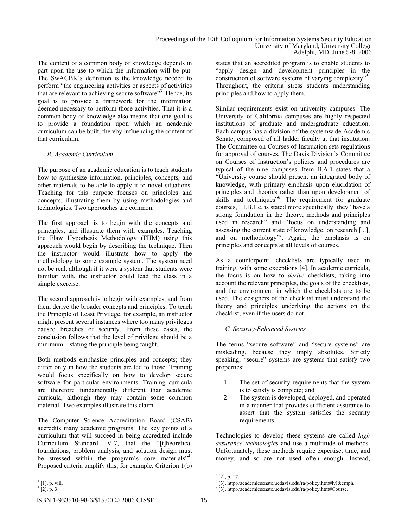The content of a common body of knowledge depends in part upon the use to which the information will be put. The SwACBK's definition is the knowledge needed to perform "the engineering activities or aspects of activities that are relevant to achieving secure software"<sup>3</sup>. Hence, its goal is to provide a framework for the information deemed necessary to perform those activities. That it is a common body of knowledge also means that one goal is to provide a foundation upon which an academic curriculum can be built, thereby influencing the content of that curriculum.

# *B. Academic Curriculum*

The purpose of an academic education is to teach students how to synthesize information, principles, concepts, and other materials to be able to apply it to novel situations. Teaching for this purpose focuses on principles and concepts, illustrating them by using methodologies and technologies. Two approaches are common.

The first approach is to begin with the concepts and principles, and illustrate them with examples. Teaching the Flaw Hypothesis Methodology (FHM) using this approach would begin by describing the technique. Then the instructor would illustrate how to apply the methodology to some example system. The system need not be real, although if it were a system that students were familiar with, the instructor could lead the class in a simple exercise.

The second approach is to begin with examples, and from them derive the broader concepts and principles. To teach the Principle of Least Privilege, for example, an instructor might present several instances where too many privileges caused breaches of security. From these cases, the conclusion follows that the level of privilege should be a minimum—stating the principle being taught.

Both methods emphasize principles and concepts; they differ only in how the students are led to those. Training would focus specifically on how to develop secure software for particular environments. Training curricula are therefore fundamentally different than academic curricula, although they may contain some common material. Two examples illustrate this claim.

The Computer Science Accreditation Board (CSAB) accredits many academic programs. The key points of a curriculum that will succeed in being accredited include Curriculum Standard IV-7, that the "[t]heoretical foundations, problem analysis, and solution design must be stressed within the program's core materials"<sup>4</sup>. Proposed criteria amplify this; for example, Criterion 1(b)

states that an accredited program is to enable students to "apply design and development principles in the construction of software systems of varying complexity"<sup>5</sup> . Throughout, the criteria stress students understanding principles and how to apply them.

Similar requirements exist on university campuses. The University of California campuses are highly respected institutions of graduate and undergraduate education. Each campus has a division of the systemwide Academic Senate, composed of all ladder faculty at that institution. The Committee on Courses of Instruction sets regulations for approval of courses. The Davis Division's Committee on Courses of Instruction's policies and procedures are typical of the nine campuses. Item II.A.1 states that a "University course should present an integrated body of knowledge, with primary emphasis upon elucidation of principles and theories rather than upon development of skills and techniques"<sup>6</sup>. The requirement for graduate courses, III.B.1.c, is stated more specifically: they "have a strong foundation in the theory, methods and principles used in research" and "focus on understanding and assessing the current state of knowledge, on research [...], and on methodology"<sup>7</sup>. Again, the emphasis is on principles and concepts at all levels of courses.

As a counterpoint, checklists are typically used in training, with some exceptions [4]. In academic curricula, the focus is on how to *derive* checklists, taking into account the relevant principles, the goals of the checklists, and the environment in which the checklists are to be used. The designers of the checklist must understand the theory and principles underlying the actions on the checklist, even if the users do not.

## *C. Security-Enhanced Systems*

The terms "secure software" and "secure systems" are misleading, because they imply absolutes. Strictly speaking, "secure" systems are systems that satisfy two properties:

- 1. The set of security requirements that the system is to satisfy is complete; and
- 2. The system is developed, deployed, and operated in a manner that provides sufficient assurance to assert that the system satisfies the security requirements.

Technologies to develop these systems are called *high assurance technologies* and use a multitude of methods. Unfortunately, these methods require expertise, time, and money, and so are not used often enough. Instead,

<sup>&</sup>lt;sup>3</sup> [1], p. viii.

 $^{4}$  [2], p. 3.

 $<sup>5</sup>$  [2], p. 17.</sup>

<sup>6</sup> [3], http://academicsenate.ucdavis.edu/ra/policy.htm#lvl&emph.

 $7$  [3], http://academicsenate.ucdavis.edu/ra/policy.htm#Course.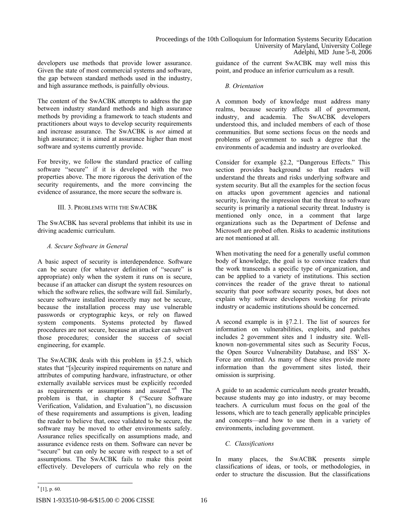developers use methods that provide lower assurance. Given the state of most commercial systems and software, the gap between standard methods used in the industry, and high assurance methods, is painfully obvious.

The content of the SwACBK attempts to address the gap between industry standard methods and high assurance methods by providing a framework to teach students and practitioners about ways to develop security requirements and increase assurance. The SwACBK is *not* aimed at high assurance; it is aimed at assurance higher than most software and systems currently provide.

For brevity, we follow the standard practice of calling software "secure" if it is developed with the two properties above. The more rigorous the derivation of the security requirements, and the more convincing the evidence of assurance, the more secure the software is.

# III. 3. PROBLEMS WITH THE SWACBK

The SwACBK has several problems that inhibit its use in driving academic curriculum.

# *A. Secure Software in General*

A basic aspect of security is interdependence. Software can be secure (for whatever definition of "secure" is appropriate) only when the system it runs on is secure, because if an attacker can disrupt the system resources on which the software relies, the software will fail. Similarly, secure software installed incorrectly may not be secure, because the installation process may use vulnerable passwords or cryptographic keys, or rely on flawed system components. Systems protected by flawed procedures are not secure, because an attacker can subvert those procedures; consider the success of social engineering, for example.

The SwACBK deals with this problem in §5.2.5, which states that "[s]ecurity inspired requirements on nature and attributes of computing hardware, infrastructure, or other externally available services must be explicitly recorded as requirements or assumptions and assured."8 The problem is that, in chapter 8 ("Secure Software Verification, Validation, and Evaluation"), no discussion of these requirements and assumptions is given, leading the reader to believe that, once validated to be secure, the software may be moved to other environments safely. Assurance relies specifically on assumptions made, and assurance evidence rests on them. Software can never be "secure" but can only be secure with respect to a set of assumptions. The SwACBK fails to make this point effectively. Developers of curricula who rely on the

guidance of the current SwACBK may well miss this point, and produce an inferior curriculum as a result.

# *B. Orientation*

A common body of knowledge must address many realms, because security affects all of government, industry, and academia. The SwACBK developers understood this, and included members of each of those communities. But some sections focus on the needs and problems of government to such a degree that the environments of academia and industry are overlooked.

Consider for example §2.2, "Dangerous Effects." This section provides background so that readers will understand the threats and risks underlying software and system security. But all the examples for the section focus on attacks upon government agencies and national security, leaving the impression that the threat to software security is primarily a national security threat. Industry is mentioned only once, in a comment that large organizations such as the Department of Defense and Microsoft are probed often. Risks to academic institutions are not mentioned at all.

When motivating the need for a generally useful common body of knowledge, the goal is to convince readers that the work transcends a specific type of organization, and can be applied to a variety of institutions. This section convinces the reader of the grave threat to national security that poor software security poses, but does not explain why software developers working for private industry or academic institutions should be concerned.

A second example is in §7.2.1. The list of sources for information on vulnerabilities, exploits, and patches includes 2 government sites and 1 industry site. Wellknown non-governmental sites such as Security Focus, the Open Source Vulnerability Database, and ISS' X-Force are omitted. As many of these sites provide more information than the government sites listed, their omission is surprising.

A guide to an academic curriculum needs greater breadth, because students may go into industry, or may become teachers. A curriculum must focus on the goal of the lessons, which are to teach generally applicable principles and concepts—and how to use them in a variety of environments, including government.

# *C. Classifications*

In many places, the SwACBK presents simple classifications of ideas, or tools, or methodologies, in order to structure the discussion. But the classifications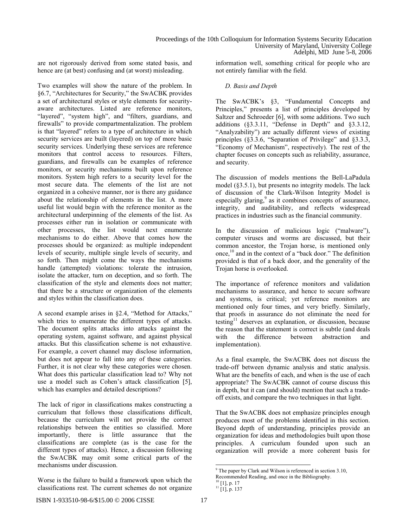are not rigorously derived from some stated basis, and hence are (at best) confusing and (at worst) misleading.

Two examples will show the nature of the problem. In §6.7, "Architectures for Security," the SwACBK provides a set of architectural styles or style elements for securityaware architectures. Listed are reference monitors, "layered", "system high", and "filters, guardians, and firewalls" to provide compartmentalization. The problem is that "layered" refers to a type of architecture in which security services are built (layered) on top of more basic security services. Underlying these services are reference monitors that control access to resources. Filters, guardians, and firewalls can be examples of reference monitors, or security mechanisms built upon reference monitors. System high refers to a security level for the most secure data. The elements of the list are not organized in a cohesive manner, nor is there any guidance about the relationship of elements in the list. A more useful list would begin with the reference monitor as the architectural underpinning of the elements of the list. As processes either run in isolation or communicate with other processes, the list would next enumerate mechanisms to do either. Above that comes how the processes should be organized: as multiple independent levels of security, multiple single levels of security, and so forth. Then might come the ways the mechanisms handle (attempted) violations: tolerate the intrusion, isolate the attacker, turn on deception, and so forth. The classification of the style and elements does not matter; that there be a structure or organization of the elements and styles within the classification does.

A second example arises in §2.4, "Method for Attacks," which tries to enumerate the different types of attacks. The document splits attacks into attacks against the operating system, against software, and against physical attacks. But this classification scheme is not exhaustive. For example, a covert channel may disclose information, but does not appear to fall into any of these categories. Further, it is not clear why these categories were chosen. What does this particular classification lead to? Why not use a model such as Cohen's attack classification [5], which has examples and detailed descriptions?

The lack of rigor in classifications makes constructing a curriculum that follows those classifications difficult, because the curriculum will not provide the correct relationships between the entities so classified. More importantly, there is little assurance that the classifications are complete (as is the case for the different types of attacks). Hence, a discussion following the SwACBK may omit some critical parts of the mechanisms under discussion.

Worse is the failure to build a framework upon which the classifications rest. The current schemes do not organize

information well, something critical for people who are not entirely familiar with the field.

#### *D. Basis and Depth*

The SwACBK's §3, "Fundamental Concepts and Principles," presents a list of principles developed by Saltzer and Schroeder [6], with some additions. Two such additions (§3.3.11, "Defense in Depth" and §3.3.12, "Analyzability") are actually different views of existing principles (§3.3.6, "Separation of Privilege" and §3.3.3, "Economy of Mechanism", respectively). The rest of the chapter focuses on concepts such as reliability, assurance, and security.

The discussion of models mentions the Bell-LaPadula model (§3.5.1), but presents no integrity models. The lack of discussion of the Clark-Wilson Integrity Model is especially glaring,<sup>9</sup> as it combines concepts of assurance, integrity, and auditability, and reflects widespread practices in industries such as the financial community.

In the discussion of malicious logic ("malware"), computer viruses and worms are discussed, but their common ancestor, the Trojan horse, is mentioned only once,<sup>10</sup> and in the context of a "back door." The definition provided is that of a back door, and the generality of the Trojan horse is overlooked.

The importance of reference monitors and validation mechanisms to assurance, and hence to secure software and systems, is critical; yet reference monitors are mentioned only four times, and very briefly. Similarly, that proofs in assurance do not eliminate the need for testing<sup>11</sup> deserves an explanation, or discussion, because the reason that the statement is correct is subtle (and deals<br>with the difference between abstraction and difference between abstraction and implementation).

As a final example, the SwACBK does not discuss the trade-off between dynamic analysis and static analysis. What are the benefits of each, and when is the use of each appropriate? The SwACBK cannot of course discuss this in depth, but it can (and should) mention that such a tradeoff exists, and compare the two techniques in that light.

That the SwACBK does not emphasize principles enough produces most of the problems identified in this section. Beyond depth of understanding, principles provide an organization for ideas and methodologies built upon those principles. A curriculum founded upon such an organization will provide a more coherent basis for

<sup>&</sup>lt;sup>9</sup> The paper by Clark and Wilson is referenced in section 3.10,

Recommended Reading, and once in the Bibliography.

 $10$  [1], p. 17

<sup>11 [1],</sup> p. 137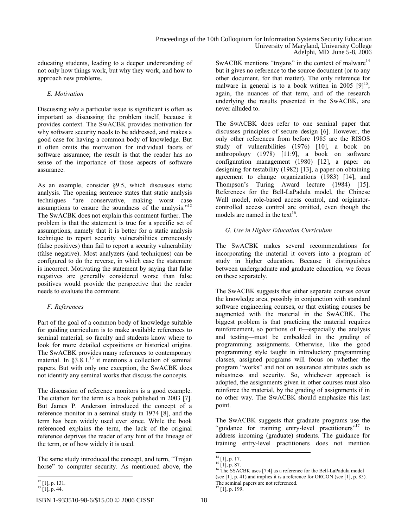educating students, leading to a deeper understanding of not only how things work, but why they work, and how to approach new problems.

# *E. Motivation*

Discussing *why* a particular issue is significant is often as important as discussing the problem itself, because it provides context. The SwACBK provides motivation for why software security needs to be addressed, and makes a good case for having a common body of knowledge. But it often omits the motivation for individual facets of software assurance; the result is that the reader has no sense of the importance of those aspects of software assurance.

As an example, consider §9.5, which discusses static analysis. The opening sentence states that static analysis techniques "are conservative, making worst case assumptions to ensure the soundness of the analysis."<sup>12</sup> The SwACBK does not explain this comment further. The problem is that the statement is true for a specific set of assumptions, namely that it is better for a static analysis technique to report security vulnerabilities erroneously (false positives) than fail to report a security vulnerability (false negative). Most analyzers (and techniques) can be configured to do the reverse, in which case the statement is incorrect. Motivating the statement by saying that false negatives are generally considered worse than false positives would provide the perspective that the reader needs to evaluate the comment.

# *F. References*

Part of the goal of a common body of knowledge suitable for guiding curriculum is to make available references to seminal material, so faculty and students know where to look for more detailed expositions or historical origins. The SwACBK provides many references to contemporary material. In  $\S$ 3.8.1,<sup>13</sup> it mentions a collection of seminal papers. But with only one exception, the SwACBK does not identify any seminal works that discuss the concepts.

The discussion of reference monitors is a good example. The citation for the term is a book published in 2003 [7]. But James P. Anderson introduced the concept of a reference monitor in a seminal study in 1974 [8], and the term has been widely used ever since. While the book referenced explains the term, the lack of the original reference deprives the reader of any hint of the lineage of the term, or of how widely it is used.

The same study introduced the concept, and term, "Trojan horse" to computer security. As mentioned above, the

SwACBK mentions "trojans" in the context of malware<sup>14</sup> but it gives no reference to the source document (or to any other document, for that matter). The only reference for malware in general is to a book written in 2005  $[9]^{15}$ ; again, the nuances of that term, and of the research underlying the results presented in the SwACBK, are never alluded to.

The SwACBK does refer to one seminal paper that discusses principles of secure design [6]. However, the only other references from before 1985 are the RISOS study of vulnerabilities (1976) [10], a book on anthropology (1978) [11:9], a book on software configuration management (1980) [12], a paper on designing for testability (1982) [13], a paper on obtaining agreement to change organizations (1983) [14], and Thompson's Turing Award lecture (1984) [15]. References for the Bell-LaPadula model, the Chinese Wall model, role-based access control, and originatorcontrolled access control are omitted, even though the models are named in the text<sup>16</sup>

# *G. Use in Higher Education Curriculum*

The SwACBK makes several recommendations for incorporating the material it covers into a program of study in higher education. Because it distinguishes between undergraduate and graduate education, we focus on these separately.

The SwACBK suggests that either separate courses cover the knowledge area, possibly in conjunction with standard software engineering courses, or that existing courses be augmented with the material in the SwACBK. The biggest problem is that practicing the material requires reinforcement, so portions of it—especially the analysis and testing—must be embedded in the grading of programming assignments. Otherwise, like the good programming style taught in introductory programming classes, assigned programs will focus on whether the program "works" and not on assurance attributes such as robustness and security. So, whichever approach is adopted, the assignments given in other courses must also reinforce the material, by the grading of assignments if in no other way. The SwACBK should emphasize this last point.

The SwACBK suggests that graduate programs use the "guidance for training entry-level practitioners"<sup>17</sup> to address incoming (graduate) students. The guidance for training entry-level practitioners does not mention

 $12$  [1], p. 131.

<sup>13 [1],</sup> p. 44.

<sup>&</sup>lt;sup>14</sup> [1], p. 17.

 $^{15}$  [1], p. 87.

<sup>&</sup>lt;sup>16</sup> The SSACBK uses [7:4] as a reference for the Bell-LaPadula model (see [1], p. 41) and implies it is a reference for ORCON (see [1], p. 85). The seminal papers are not referenced.

<sup>&</sup>lt;sup>17</sup> [1], p. 199.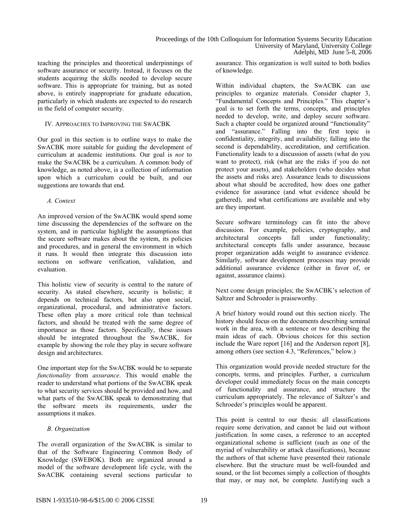teaching the principles and theoretical underpinnings of software assurance or security. Instead, it focuses on the students acquiring the skills needed to develop secure software. This is appropriate for training, but as noted above, is entirely inappropriate for graduate education, particularly in which students are expected to do research in the field of computer security.

#### IV. APPROACHES TO IMPROVING THE SWACBK

Our goal in this section is to outline ways to make the SwACBK more suitable for guiding the development of curriculum at academic institutions. Our goal is *not* to make the SwACBK be a curriculum. A common body of knowledge, as noted above, is a collection of information upon which a curriculum could be built, and our suggestions are towards that end.

## *A. Context*

An improved version of the SwACBK would spend some time discussing the dependencies of the software on the system, and in particular highlight the assumptions that the secure software makes about the system, its policies and procedures, and in general the environment in which it runs. It would then integrate this discussion into sections on software verification, validation, and evaluation.

This holistic view of security is central to the nature of security. As stated elsewhere, security is holistic; it depends on technical factors, but also upon social, organizational, procedural, and administrative factors. These often play a more critical role than technical factors, and should be treated with the same degree of importance as those factors. Specifically, these issues should be integrated throughout the SwACBK, for example by showing the role they play in secure software design and architectures.

One important step for the SwACBK would be to separate *functionality* from *assurance*. This would enable the reader to understand what portions of the SwACBK speak to what security services should be provided and how, and what parts of the SwACBK speak to demonstrating that the software meets its requirements, under the assumptions it makes.

# *B. Organization*

The overall organization of the SwACBK is similar to that of the Software Engineering Common Body of Knowledge (SWEBOK). Both are organized around a model of the software development life cycle, with the SwACBK containing several sections particular to

assurance. This organization is well suited to both bodies of knowledge.

Within individual chapters, the SwACBK can use principles to organize materials. Consider chapter 3, "Fundamental Concepts and Principles." This chapter's goal is to set forth the terms, concepts, and principles needed to develop, write, and deploy secure software. Such a chapter could be organized around "functionality" and "assurance." Falling into the first topic is confidentiality, integrity, and availability; falling into the second is dependability, accreditation, and certification. Functionality leads to a discussion of assets (what do you want to protect), risk (what are the risks if you do not protect your assets), and stakeholders (who decides what the assets and risks are). Assurance leads to discussions about what should be accredited, how does one gather evidence for assurance (and what evidence should be gathered), and what certifications are available and why are they important.

Secure software terminology can fit into the above discussion. For example, policies, cryptography, and architectural concepts fall under functionality; architectural concepts falls under assurance, because proper organization adds weight to assurance evidence. Similarly, software development processes may provide additional assurance evidence (either in favor of, or against, assurance claims).

Next come design principles; the SwACBK's selection of Saltzer and Schroeder is praiseworthy.

A brief history would round out this section nicely. The history should focus on the documents describing seminal work in the area, with a sentence or two describing the main ideas of each. Obvious choices for this section include the Ware report [16] and the Anderson report [8], among others (see section 4.3, "References," below.)

This organization would provide needed structure for the concepts, terms, and principles. Further, a curriculum developer could immediately focus on the main concepts of functionality and assurance, and structure the curriculum appropriately. The relevance of Saltzer's and Schroeder's principles would be apparent.

This point is central to our thesis: all classifications require some derivation, and cannot be laid out without justification. In some cases, a reference to an accepted organizational scheme is sufficient (such as one of the myriad of vulnerability or attack classifications), because the authors of that scheme have presented their rationale elsewhere. But the structure must be well-founded and sound, or the list becomes simply a collection of thoughts that may, or may not, be complete. Justifying such a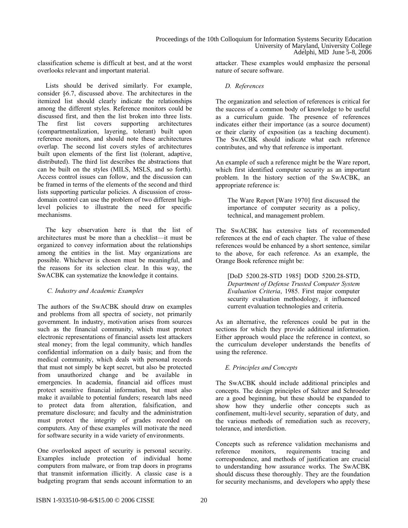classification scheme is difficult at best, and at the worst overlooks relevant and important material.

Lists should be derived similarly. For example, consider §6.7, discussed above. The architectures in the itemized list should clearly indicate the relationships among the different styles. Reference monitors could be discussed first, and then the list broken into three lists. The first list covers supporting architectures (compartmentalization, layering, tolerant) built upon reference monitors, and should note these architectures overlap. The second list covers styles of architectures built upon elements of the first list (tolerant, adaptive, distributed). The third list describes the abstractions that can be built on the styles (MILS, MSLS, and so forth). Access control issues can follow, and the discussion can be framed in terms of the elements of the second and third lists supporting particular policies. A discussion of crossdomain control can use the problem of two different highlevel policies to illustrate the need for specific mechanisms.

The key observation here is that the list of architectures must be more than a checklist—it must be organized to convey information about the relationships among the entities in the list. May organizations are possible. Whichever is chosen must be meaningful, and the reasons for its selection clear. In this way, the SwACBK can systematize the knowledge it contains.

## *C. Industry and Academic Examples*

The authors of the SwACBK should draw on examples and problems from all spectra of society, not primarily government. In industry, motivation arises from sources such as the financial community, which must protect electronic representations of financial assets lest attackers steal money; from the legal community, which handles confidential information on a daily basis; and from the medical community, which deals with personal records that must not simply be kept secret, but also be protected from unauthorized change and be available in emergencies. In academia, financial aid offices must protect sensitive financial information, but must also make it available to potential funders; research labs need to protect data from alteration, falsification, and premature disclosure; and faculty and the administration must protect the integrity of grades recorded on computers. Any of these examples will motivate the need for software security in a wide variety of environments.

One overlooked aspect of security is personal security. Examples include protection of individual home computers from malware, or from trap doors in programs that transmit information illicitly. A classic case is a budgeting program that sends account information to an attacker. These examples would emphasize the personal nature of secure software.

#### *D. References*

The organization and selection of references is critical for the success of a common body of knowledge to be useful as a curriculum guide. The presence of references indicates either their importance (as a source document) or their clarity of exposition (as a teaching document). The SwACBK should indicate what each reference contributes, and why that reference is important.

An example of such a reference might be the Ware report, which first identified computer security as an important problem. In the history section of the SwACBK, an appropriate reference is:

The Ware Report [Ware 1970] first discussed the importance of computer security as a policy, technical, and management problem.

The SwACBK has extensive lists of recommended references at the end of each chapter. The value of these references would be enhanced by a short sentence, similar to the above, for each reference. As an example, the Orange Book reference might be:

[DoD 5200.28-STD 1985] DOD 5200.28-STD, *Department of Defense Trusted Computer System Evaluation Criteria*, 1985. First major computer security evaluation methodology, it influenced current evaluation technologies and criteria.

As an alternative, the references could be put in the sections for which they provide additional information. Either approach would place the reference in context, so the curriculum developer understands the benefits of using the reference.

## *E. Principles and Concepts*

The SwACBK should include additional principles and concepts. The design principles of Saltzer and Schroeder are a good beginning, but these should be expanded to show how they underlie other concepts such as confinement, multi-level security, separation of duty, and the various methods of remediation such as recovery, tolerance, and interdiction.

Concepts such as reference validation mechanisms and reference monitors. requirements tracing and monitors, requirements tracing and correspondence, and methods of justification are crucial to understanding how assurance works. The SwACBK should discuss these thoroughly. They are the foundation for security mechanisms, and developers who apply these